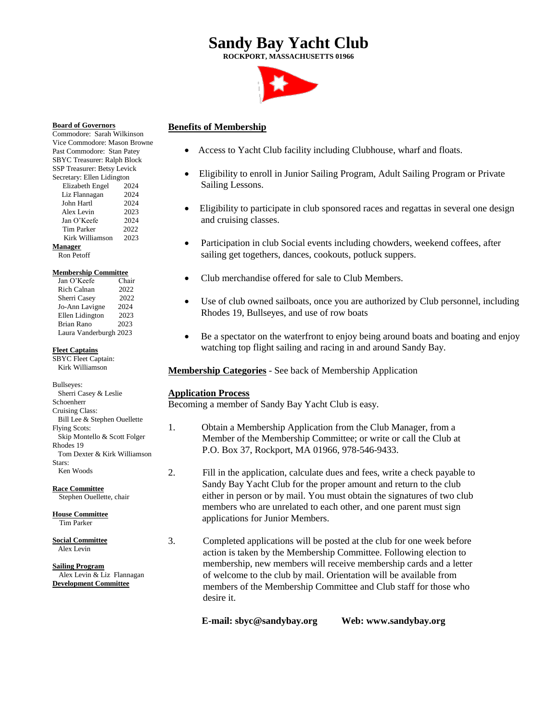# **Sandy Bay Yacht Club**

**ROCKPORT, MASSACHUSETTS 01966**



### **Benefits of Membership**

- Access to Yacht Club facility including Clubhouse, wharf and floats.
- Eligibility to enroll in Junior Sailing Program, Adult Sailing Program or Private Sailing Lessons.
- Eligibility to participate in club sponsored races and regattas in several one design and cruising classes.
- Participation in club Social events including chowders, weekend coffees, after sailing get togethers, dances, cookouts, potluck suppers.
- Club merchandise offered for sale to Club Members.
- Use of club owned sailboats, once you are authorized by Club personnel, including Rhodes 19, Bullseyes, and use of row boats
- Be a spectator on the waterfront to enjoy being around boats and boating and enjoy watching top flight sailing and racing in and around Sandy Bay.

**Membership Categories** - See back of Membership Application

### **Application Process**

Becoming a member of Sandy Bay Yacht Club is easy.

- 1. Obtain a Membership Application from the Club Manager, from a Member of the Membership Committee; or write or call the Club at P.O. Box 37, Rockport, MA 01966, 978-546-9433.
- 2. Fill in the application, calculate dues and fees, write a check payable to Sandy Bay Yacht Club for the proper amount and return to the club either in person or by mail. You must obtain the signatures of two club members who are unrelated to each other, and one parent must sign applications for Junior Members.
- 3. Completed applications will be posted at the club for one week before action is taken by the Membership Committee. Following election to membership, new members will receive membership cards and a letter of welcome to the club by mail. Orientation will be available from members of the Membership Committee and Club staff for those who desire it.
	- **E-mail: sbyc@sandybay.org Web: www.sandybay.org**

**Board of Governors** Commodore: Sarah Wilkinson Vice Commodore: Mason Browne Past Commodore: Stan Patey SBYC Treasurer: Ralph Block SSP Treasurer: Betsy Levick Secretary: Ellen Lidington Elizabeth Engel 2024 Liz Flannagan 2024 John Hartl 2024 Alex Levin 2023 Jan O'Keefe 2024 Tim Parker 2022 Kirk Williamson 2023 **Manager**

Ron Petoff

#### **Membership Committee**

| Jan O'Keefe            | Chair |
|------------------------|-------|
| <b>Rich Calnan</b>     | 2022  |
| Sherri Casey           | 2022  |
| Jo-Ann Lavigne         | 2024  |
| Ellen Lidington        | 2023  |
| <b>Brian Rano</b>      | 2023  |
| Laura Vanderburgh 2023 |       |

**Fleet Captains**

SBYC Fleet Captain: Kirk Williamson

Bullseyes: Sherri Casey & Leslie Schoenherr Cruising Class: Bill Lee & Stephen Ouellette Flying Scots: Skip Montello & Scott Folger Rhodes 19 Tom Dexter & Kirk Williamson Stars: Ken Woods

**Race Committee** Stephen Ouellette, chair

**House Committee** Tim Parker

**Social Committee** Alex Levin

**Sailing Program** Alex Levin & Liz Flannagan **Development Committee**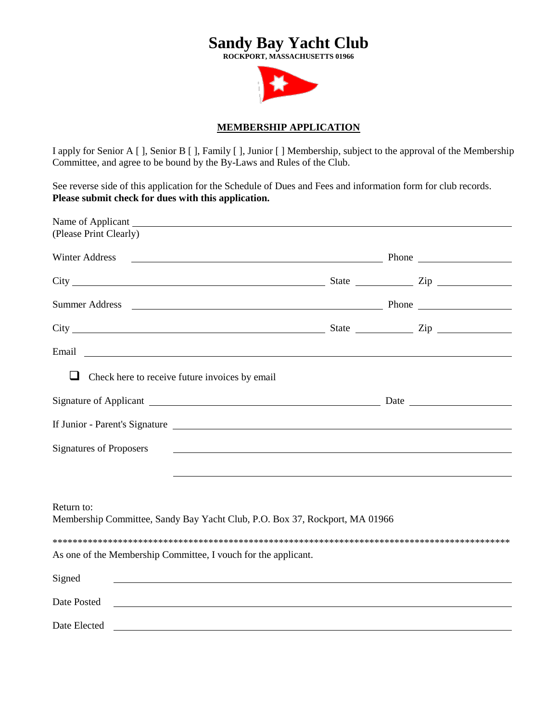# **Sandy Bay Yacht Club** ROCKPORT, MASSACHUSETTS 01966

## **MEMBERSHIP APPLICATION**

I apply for Senior A [], Senior B [], Family [], Junior [] Membership, subject to the approval of the Membership Committee, and agree to be bound by the By-Laws and Rules of the Club.

See reverse side of this application for the Schedule of Dues and Fees and information form for club records. Please submit check for dues with this application.

| (Please Print Clearly)                                                                                                                                                                                                              |                                                             |  |
|-------------------------------------------------------------------------------------------------------------------------------------------------------------------------------------------------------------------------------------|-------------------------------------------------------------|--|
| <b>Winter Address</b><br>Phone                                                                                                                                                                                                      |                                                             |  |
|                                                                                                                                                                                                                                     |                                                             |  |
|                                                                                                                                                                                                                                     |                                                             |  |
|                                                                                                                                                                                                                                     |                                                             |  |
| Email <u>experience</u> and the contract of the contract of the contract of the contract of the contract of the contract of the contract of the contract of the contract of the contract of the contract of the contract of the con |                                                             |  |
| ⊔<br>Check here to receive future invoices by email                                                                                                                                                                                 |                                                             |  |
|                                                                                                                                                                                                                                     |                                                             |  |
| If Junior - Parent's Signature                                                                                                                                                                                                      |                                                             |  |
| <b>Signatures of Proposers</b>                                                                                                                                                                                                      | <u> 1990 - Johann Stoff, amerikansk politiker (d. 1980)</u> |  |
|                                                                                                                                                                                                                                     |                                                             |  |
| Return to:<br>Membership Committee, Sandy Bay Yacht Club, P.O. Box 37, Rockport, MA 01966                                                                                                                                           |                                                             |  |
|                                                                                                                                                                                                                                     |                                                             |  |
| As one of the Membership Committee, I vouch for the applicant.                                                                                                                                                                      |                                                             |  |
| Signed<br><u> 1989 - Johann Stoff, amerikansk politiker (d. 1989)</u>                                                                                                                                                               |                                                             |  |
| Date Posted                                                                                                                                                                                                                         |                                                             |  |
| Date Elected                                                                                                                                                                                                                        |                                                             |  |